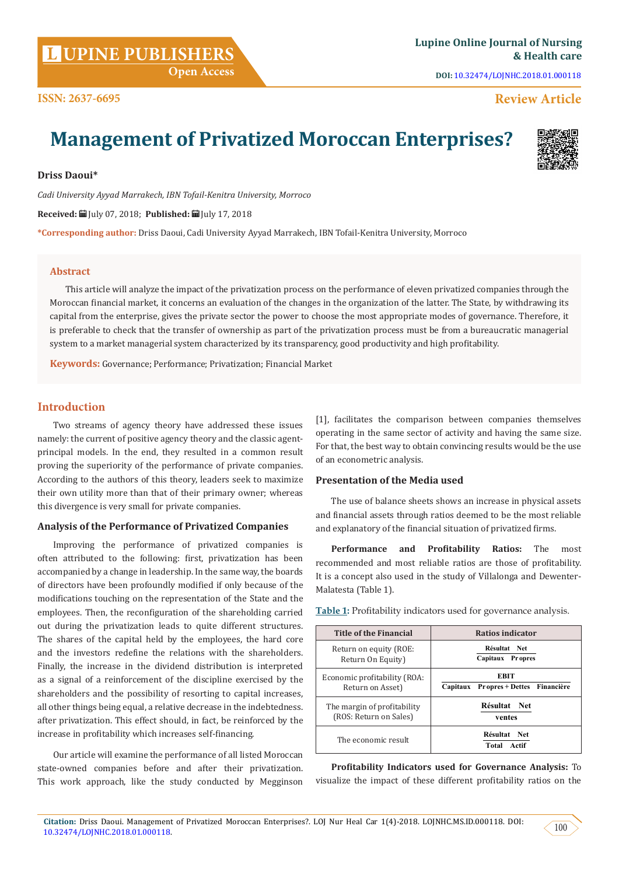**DOI:** [10.32474/LOJNHC.2018.01.000118](http://dx.doi.org/10.32474/LOJNHC.2018.01.000118)

# **Review Article**

# **Management of Privatized Moroccan Enterprises?**

**Driss Daoui\***

**ISSN: 2637-6695**

*Cadi University Ayyad Marrakech, IBN Tofail-Kenitra University, Morroco*

**Received:** July 07, 2018; **Published:** July 17, 2018

**\*Corresponding author:** Driss Daoui, Cadi University Ayyad Marrakech, IBN Tofail-Kenitra University, Morroco

#### **Abstract**

This article will analyze the impact of the privatization process on the performance of eleven privatized companies through the Moroccan financial market, it concerns an evaluation of the changes in the organization of the latter. The State, by withdrawing its capital from the enterprise, gives the private sector the power to choose the most appropriate modes of governance. Therefore, it is preferable to check that the transfer of ownership as part of the privatization process must be from a bureaucratic managerial system to a market managerial system characterized by its transparency, good productivity and high profitability.

**Keywords:** Governance; Performance; Privatization; Financial Market

## **Introduction**

Two streams of agency theory have addressed these issues namely: the current of positive agency theory and the classic agentprincipal models. In the end, they resulted in a common result proving the superiority of the performance of private companies. According to the authors of this theory, leaders seek to maximize their own utility more than that of their primary owner; whereas this divergence is very small for private companies.

### **Analysis of the Performance of Privatized Companies**

Improving the performance of privatized companies is often attributed to the following: first, privatization has been accompanied by a change in leadership. In the same way, the boards of directors have been profoundly modified if only because of the modifications touching on the representation of the State and the employees. Then, the reconfiguration of the shareholding carried out during the privatization leads to quite different structures. The shares of the capital held by the employees, the hard core and the investors redefine the relations with the shareholders. Finally, the increase in the dividend distribution is interpreted as a signal of a reinforcement of the discipline exercised by the shareholders and the possibility of resorting to capital increases, all other things being equal, a relative decrease in the indebtedness. after privatization. This effect should, in fact, be reinforced by the increase in profitability which increases self-financing.

Our article will examine the performance of all listed Moroccan state-owned companies before and after their privatization. This work approach, like the study conducted by Megginson [1], facilitates the comparison between companies themselves operating in the same sector of activity and having the same size. For that, the best way to obtain convincing results would be the use of an econometric analysis.

### **Presentation of the Media used**

The use of balance sheets shows an increase in physical assets and financial assets through ratios deemed to be the most reliable and explanatory of the financial situation of privatized firms.

**Performance and Profitability Ratios:** The most recommended and most reliable ratios are those of profitability. It is a concept also used in the study of Villalonga and Dewenter-Malatesta (Table 1).

| <b>Title of the Financial</b> | Ratios indicator                     |
|-------------------------------|--------------------------------------|
| Return on equity (ROE:        | Résultat Net                         |
| Return On Equity)             | Capitaux Propres                     |
| Economic profitability (ROA:  | <b>EBIT</b>                          |
| Return on Asset)              | Capitaux Propres + Dettes Financière |
| The margin of profitability   | Résultat Net                         |
| (ROS: Return on Sales)        | ventes                               |
| The economic result           | Résultat Net<br>Total Actif          |

**Table 1:** Profitability indicators used for governance analysis.

**Profitability Indicators used for Governance Analysis:** To visualize the impact of these different profitability ratios on the

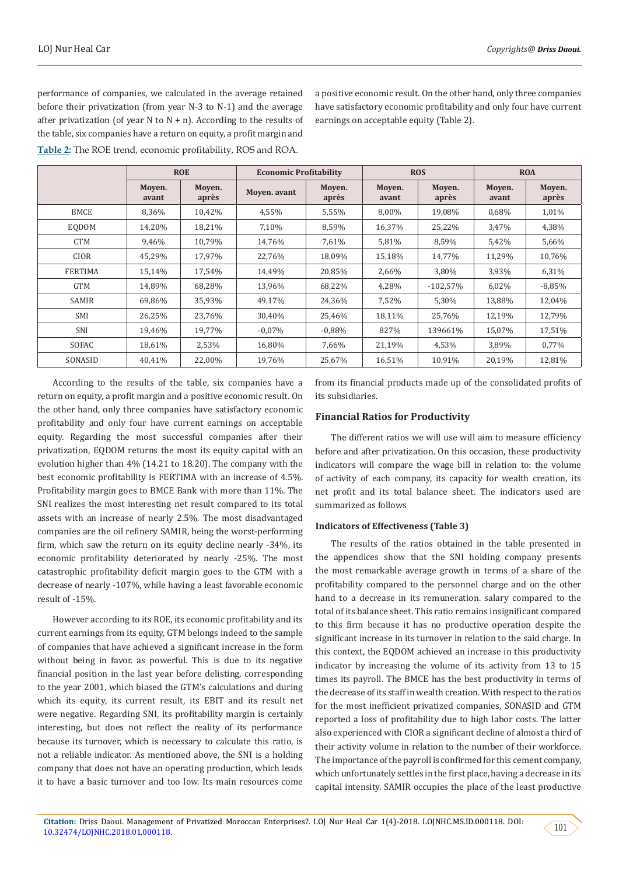performance of companies, we calculated in the average retained before their privatization (from year N-3 to N-1) and the average after privatization (of year N to  $N + n$ ). According to the results of the table, six companies have a return on equity, a profit margin and **Table 2:** The ROE trend, economic profitability, ROS and ROA.

a positive economic result. On the other hand, only three companies have satisfactory economic profitability and only four have current earnings on acceptable equity (Table 2).

|                | <b>ROE</b>      |                 | <b>Economic Profitability</b> |                 | <b>ROS</b>      |                 | <b>ROA</b>      |                 |
|----------------|-----------------|-----------------|-------------------------------|-----------------|-----------------|-----------------|-----------------|-----------------|
|                | Moven.<br>avant | Moven.<br>après | Moyen. avant                  | Moyen.<br>après | Moven.<br>avant | Moven.<br>après | Moven.<br>avant | Moyen.<br>après |
| <b>BMCE</b>    | 8,36%           | 10,42%          | 4,55%                         | 5,55%           | 8,00%           | 19,08%          | 0,68%           | 1,01%           |
| <b>EODOM</b>   | 14,20%          | 18,21%          | 7,10%                         | 8,59%           | 16,37%          | 25,22%          | 3,47%           | 4,38%           |
| <b>CTM</b>     | 9,46%           | 10,79%          | 14,76%                        | 7,61%           | 5,81%           | 8,59%           | 5,42%           | 5,66%           |
| <b>CIOR</b>    | 45,29%          | 17,97%          | 22,76%                        | 18,09%          | 15,18%          | 14,77%          | 11,29%          | 10,76%          |
| <b>FERTIMA</b> | 15,14%          | 17,54%          | 14,49%                        | 20,85%          | 2,66%           | 3,80%           | 3,93%           | 6,31%           |
| <b>GTM</b>     | 14,89%          | 68,28%          | 13,96%                        | 68,22%          | 4.28%           | $-102,57%$      | 6,02%           | $-8,85%$        |
| <b>SAMIR</b>   | 69,86%          | 35,93%          | 49,17%                        | 24,36%          | 7,52%           | 5,30%           | 13,88%          | 12,04%          |
| <b>SMI</b>     | 26,25%          | 23,76%          | 30.40%                        | 25,46%          | 18,11%          | 25,76%          | 12,19%          | 12,79%          |
| <b>SNI</b>     | 19.46%          | 19,77%          | $-0.07\%$                     | $-0.88%$        | 827%            | 139661%         | 15,07%          | 17,51%          |
| SOFAC          | 18,61%          | 2,53%           | 16,80%                        | 7,66%           | 21,19%          | 4,53%           | 3,89%           | 0,77%           |
| SONASID        | 40,41%          | 22,00%          | 19,76%                        | 25,67%          | 16,51%          | 10,91%          | 20,19%          | 12,81%          |

According to the results of the table, six companies have a return on equity, a profit margin and a positive economic result. On the other hand, only three companies have satisfactory economic profitability and only four have current earnings on acceptable equity. Regarding the most successful companies after their privatization, EQDOM returns the most its equity capital with an evolution higher than 4% (14.21 to 18.20). The company with the best economic profitability is FERTIMA with an increase of 4.5%. Profitability margin goes to BMCE Bank with more than 11%. The SNI realizes the most interesting net result compared to its total assets with an increase of nearly 2.5%. The most disadvantaged companies are the oil refinery SAMIR, being the worst-performing firm, which saw the return on its equity decline nearly -34%, its economic profitability deteriorated by nearly -25%. The most catastrophic profitability deficit margin goes to the GTM with a decrease of nearly -107%, while having a least favorable economic result of -15%.

However according to its ROE, its economic profitability and its current earnings from its equity, GTM belongs indeed to the sample of companies that have achieved a significant increase in the form without being in favor. as powerful. This is due to its negative financial position in the last year before delisting, corresponding to the year 2001, which biased the GTM's calculations and during which its equity, its current result, its EBIT and its result net were negative. Regarding SNI, its profitability margin is certainly interesting, but does not reflect the reality of its performance because its turnover, which is necessary to calculate this ratio, is not a reliable indicator. As mentioned above, the SNI is a holding company that does not have an operating production, which leads it to have a basic turnover and too low. Its main resources come

from its financial products made up of the consolidated profits of its subsidiaries.

#### **Financial Ratios for Productivity**

The different ratios we will use will aim to measure efficiency before and after privatization. On this occasion, these productivity indicators will compare the wage bill in relation to: the volume of activity of each company, its capacity for wealth creation, its net profit and its total balance sheet. The indicators used are summarized as follows

#### **Indicators of Effectiveness (Table 3)**

The results of the ratios obtained in the table presented in the appendices show that the SNI holding company presents the most remarkable average growth in terms of a share of the profitability compared to the personnel charge and on the other hand to a decrease in its remuneration. salary compared to the total of its balance sheet. This ratio remains insignificant compared to this firm because it has no productive operation despite the significant increase in its turnover in relation to the said charge. In this context, the EQDOM achieved an increase in this productivity indicator by increasing the volume of its activity from 13 to 15 times its payroll. The BMCE has the best productivity in terms of the decrease of its staff in wealth creation. With respect to the ratios for the most inefficient privatized companies, SONASID and GTM reported a loss of profitability due to high labor costs. The latter also experienced with CIOR a significant decline of almost a third of their activity volume in relation to the number of their workforce. The importance of the payroll is confirmed for this cement company, which unfortunately settles in the first place, having a decrease in its capital intensity. SAMIR occupies the place of the least productive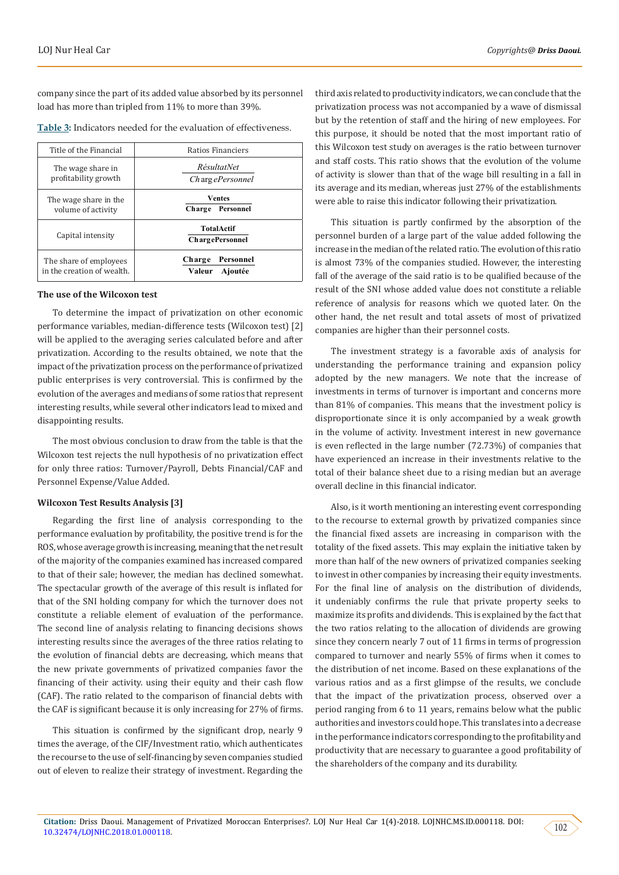company since the part of its added value absorbed by its personnel load has more than tripled from 11% to more than 39%.

| Title of the Financial                               | Ratios Financiers                            |  |  |
|------------------------------------------------------|----------------------------------------------|--|--|
| The wage share in<br>profitability growth            | <i>RésultatNet</i><br><i>ChargePersonnel</i> |  |  |
| The wage share in the<br>volume of activity          | <b>Ventes</b><br>Charge Personnel            |  |  |
| Capital intensity                                    | <b>TotalActif</b><br>ChargePersonnel         |  |  |
| The share of employees<br>in the creation of wealth. | Personnel<br>Charge<br>Valeur<br>Ajoutée     |  |  |

**Table 3:** Indicators needed for the evaluation of effectiveness.

#### **The use of the Wilcoxon test**

To determine the impact of privatization on other economic performance variables, median-difference tests (Wilcoxon test) [2] will be applied to the averaging series calculated before and after privatization. According to the results obtained, we note that the impact of the privatization process on the performance of privatized public enterprises is very controversial. This is confirmed by the evolution of the averages and medians of some ratios that represent interesting results, while several other indicators lead to mixed and disappointing results.

The most obvious conclusion to draw from the table is that the Wilcoxon test rejects the null hypothesis of no privatization effect for only three ratios: Turnover/Payroll, Debts Financial/CAF and Personnel Expense/Value Added.

#### **Wilcoxon Test Results Analysis [3]**

Regarding the first line of analysis corresponding to the performance evaluation by profitability, the positive trend is for the ROS, whose average growth is increasing, meaning that the net result of the majority of the companies examined has increased compared to that of their sale; however, the median has declined somewhat. The spectacular growth of the average of this result is inflated for that of the SNI holding company for which the turnover does not constitute a reliable element of evaluation of the performance. The second line of analysis relating to financing decisions shows interesting results since the averages of the three ratios relating to the evolution of financial debts are decreasing, which means that the new private governments of privatized companies favor the financing of their activity. using their equity and their cash flow (CAF). The ratio related to the comparison of financial debts with the CAF is significant because it is only increasing for 27% of firms.

This situation is confirmed by the significant drop, nearly 9 times the average, of the CIF/Investment ratio, which authenticates the recourse to the use of self-financing by seven companies studied out of eleven to realize their strategy of investment. Regarding the third axis related to productivity indicators, we can conclude that the privatization process was not accompanied by a wave of dismissal but by the retention of staff and the hiring of new employees. For this purpose, it should be noted that the most important ratio of this Wilcoxon test study on averages is the ratio between turnover and staff costs. This ratio shows that the evolution of the volume of activity is slower than that of the wage bill resulting in a fall in its average and its median, whereas just 27% of the establishments were able to raise this indicator following their privatization.

This situation is partly confirmed by the absorption of the personnel burden of a large part of the value added following the increase in the median of the related ratio. The evolution of this ratio is almost 73% of the companies studied. However, the interesting fall of the average of the said ratio is to be qualified because of the result of the SNI whose added value does not constitute a reliable reference of analysis for reasons which we quoted later. On the other hand, the net result and total assets of most of privatized companies are higher than their personnel costs.

The investment strategy is a favorable axis of analysis for understanding the performance training and expansion policy adopted by the new managers. We note that the increase of investments in terms of turnover is important and concerns more than 81% of companies. This means that the investment policy is disproportionate since it is only accompanied by a weak growth in the volume of activity. Investment interest in new governance is even reflected in the large number (72.73%) of companies that have experienced an increase in their investments relative to the total of their balance sheet due to a rising median but an average overall decline in this financial indicator.

Also, is it worth mentioning an interesting event corresponding to the recourse to external growth by privatized companies since the financial fixed assets are increasing in comparison with the totality of the fixed assets. This may explain the initiative taken by more than half of the new owners of privatized companies seeking to invest in other companies by increasing their equity investments. For the final line of analysis on the distribution of dividends, it undeniably confirms the rule that private property seeks to maximize its profits and dividends. This is explained by the fact that the two ratios relating to the allocation of dividends are growing since they concern nearly 7 out of 11 firms in terms of progression compared to turnover and nearly 55% of firms when it comes to the distribution of net income. Based on these explanations of the various ratios and as a first glimpse of the results, we conclude that the impact of the privatization process, observed over a period ranging from 6 to 11 years, remains below what the public authorities and investors could hope. This translates into a decrease in the performance indicators corresponding to the profitability and productivity that are necessary to guarantee a good profitability of the shareholders of the company and its durability.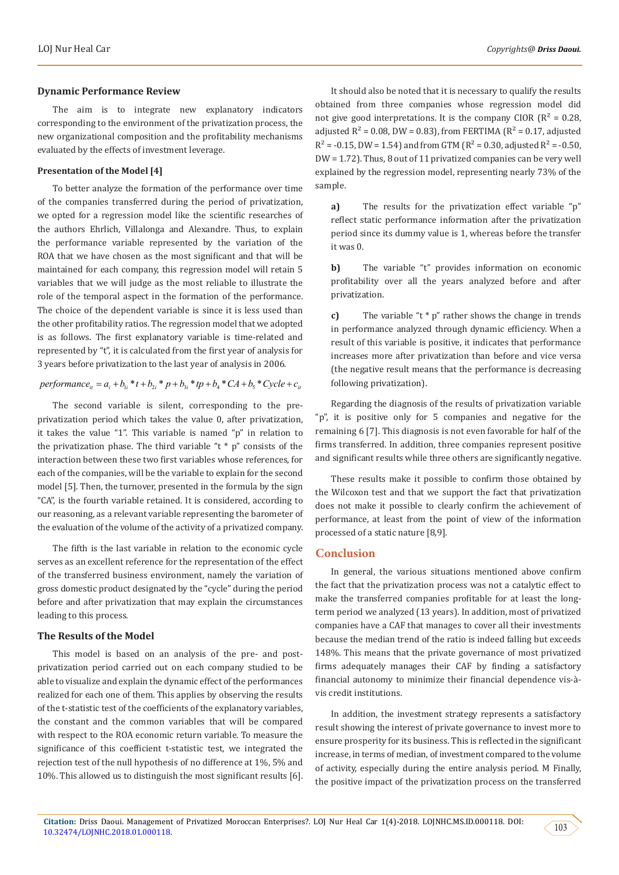#### **Dynamic Performance Review**

The aim is to integrate new explanatory indicators corresponding to the environment of the privatization process, the new organizational composition and the profitability mechanisms evaluated by the effects of investment leverage.

#### **Presentation of the Model [4]**

To better analyze the formation of the performance over time of the companies transferred during the period of privatization, we opted for a regression model like the scientific researches of the authors Ehrlich, Villalonga and Alexandre. Thus, to explain the performance variable represented by the variation of the ROA that we have chosen as the most significant and that will be maintained for each company, this regression model will retain 5 variables that we will judge as the most reliable to illustrate the role of the temporal aspect in the formation of the performance. The choice of the dependent variable is since it is less used than the other profitability ratios. The regression model that we adopted is as follows. The first explanatory variable is time-related and represented by "t", it is calculated from the first year of analysis for 3 years before privatization to the last year of analysis in 2006.

### $performance_{u} = a_{i} + b_{i} * t + b_{i} * p + b_{i} * tp + b_{i} * CA + b_{i} * Cycle + c_{i}$

The second variable is silent, corresponding to the preprivatization period which takes the value 0, after privatization, it takes the value "1". This variable is named "p" in relation to the privatization phase. The third variable "t \* p" consists of the interaction between these two first variables whose references, for each of the companies, will be the variable to explain for the second model [5]. Then, the turnover, presented in the formula by the sign "CA", is the fourth variable retained. It is considered, according to our reasoning, as a relevant variable representing the barometer of the evaluation of the volume of the activity of a privatized company.

The fifth is the last variable in relation to the economic cycle serves as an excellent reference for the representation of the effect of the transferred business environment, namely the variation of gross domestic product designated by the "cycle" during the period before and after privatization that may explain the circumstances leading to this process.

#### **The Results of the Model**

This model is based on an analysis of the pre- and postprivatization period carried out on each company studied to be able to visualize and explain the dynamic effect of the performances realized for each one of them. This applies by observing the results of the t-statistic test of the coefficients of the explanatory variables, the constant and the common variables that will be compared with respect to the ROA economic return variable. To measure the significance of this coefficient t-statistic test, we integrated the rejection test of the null hypothesis of no difference at 1%, 5% and 10%. This allowed us to distinguish the most significant results [6].

It should also be noted that it is necessary to qualify the results obtained from three companies whose regression model did not give good interpretations. It is the company CIOR ( $R^2 = 0.28$ , adjusted  $R^2 = 0.08$ , DW = 0.83), from FERTIMA ( $R^2 = 0.17$ , adjusted  $R^2$  = -0.15, DW = 1.54) and from GTM ( $R^2$  = 0.30, adjusted  $R^2$  = -0.50, DW = 1.72). Thus, 8 out of 11 privatized companies can be very well explained by the regression model, representing nearly 73% of the sample.

**a)** The results for the privatization effect variable "p" reflect static performance information after the privatization period since its dummy value is 1, whereas before the transfer it was 0.

**b)** The variable "t" provides information on economic profitability over all the years analyzed before and after privatization.

**c)** The variable "t \* p" rather shows the change in trends in performance analyzed through dynamic efficiency. When a result of this variable is positive, it indicates that performance increases more after privatization than before and vice versa (the negative result means that the performance is decreasing following privatization).

Regarding the diagnosis of the results of privatization variable "p", it is positive only for 5 companies and negative for the remaining 6 [7]. This diagnosis is not even favorable for half of the firms transferred. In addition, three companies represent positive and significant results while three others are significantly negative.

These results make it possible to confirm those obtained by the Wilcoxon test and that we support the fact that privatization does not make it possible to clearly confirm the achievement of performance, at least from the point of view of the information processed of a static nature [8,9].

#### **Conclusion**

In general, the various situations mentioned above confirm the fact that the privatization process was not a catalytic effect to make the transferred companies profitable for at least the longterm period we analyzed (13 years). In addition, most of privatized companies have a CAF that manages to cover all their investments because the median trend of the ratio is indeed falling but exceeds 148%. This means that the private governance of most privatized firms adequately manages their CAF by finding a satisfactory financial autonomy to minimize their financial dependence vis-àvis credit institutions.

In addition, the investment strategy represents a satisfactory result showing the interest of private governance to invest more to ensure prosperity for its business. This is reflected in the significant increase, in terms of median, of investment compared to the volume of activity, especially during the entire analysis period. M Finally, the positive impact of the privatization process on the transferred